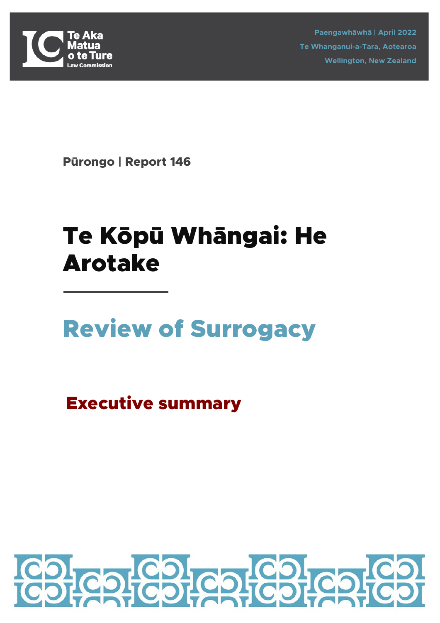

**Paengawhāwhā | April 2022 Te Whanganui-a-Tara, Aotearoa Wellington, New Zealand**

**Pūrongo | Report 146**

# Te Kōpū Whāngai: He Arotake

# Review of Surrogacy

Executive summary

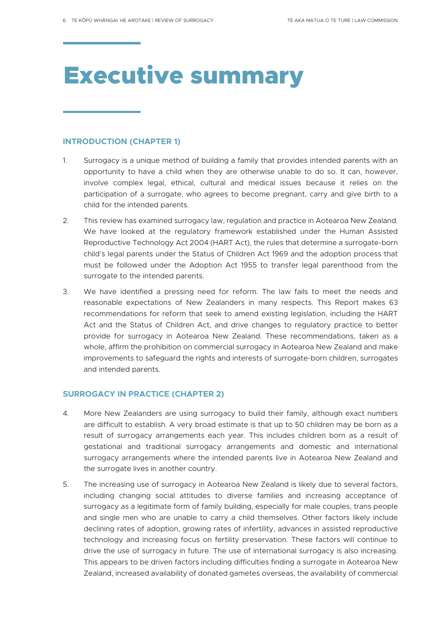# Executive summary

## **INTRODUCTION (CHAPTER 1)**

- 1. Surrogacy is a unique method of building a family that provides intended parents with an opportunity to have a child when they are otherwise unable to do so. It can, however, involve complex legal, ethical, cultural and medical issues because it relies on the participation of a surrogate, who agrees to become pregnant, carry and give birth to a child for the intended parents.
- 2. This review has examined surrogacy law, regulation and practice in Aotearoa New Zealand. We have looked at the regulatory framework established under the Human Assisted Reproductive Technology Act 2004 (HART Act), the rules that determine a surrogate-born child's legal parents under the Status of Children Act 1969 and the adoption process that must be followed under the Adoption Act 1955 to transfer legal parenthood from the surrogate to the intended parents.
- 3. We have identified a pressing need for reform. The law fails to meet the needs and reasonable expectations of New Zealanders in many respects. This Report makes 63 recommendations for reform that seek to amend existing legislation, including the HART Act and the Status of Children Act, and drive changes to regulatory practice to better provide for surrogacy in Aotearoa New Zealand. These recommendations, taken as a whole, affirm the prohibition on commercial surrogacy in Aotearoa New Zealand and make improvements to safeguard the rights and interests of surrogate-born children, surrogates and intended parents.

# **SURROGACY IN PRACTICE (CHAPTER 2)**

- 4. More New Zealanders are using surrogacy to build their family, although exact numbers are difficult to establish. A very broad estimate is that up to 50 children may be born as a result of surrogacy arrangements each year. This includes children born as a result of gestational and traditional surrogacy arrangements and domestic and international surrogacy arrangements where the intended parents live in Aotearoa New Zealand and the surrogate lives in another country.
- 5. The increasing use of surrogacy in Aotearoa New Zealand is likely due to several factors, including changing social attitudes to diverse families and increasing acceptance of surrogacy as a legitimate form of family building, especially for male couples, trans people and single men who are unable to carry a child themselves. Other factors likely include declining rates of adoption, growing rates of infertility, advances in assisted reproductive technology and increasing focus on fertility preservation. These factors will continue to drive the use of surrogacy in future. The use of international surrogacy is also increasing. This appears to be driven factors including difficulties finding a surrogate in Aotearoa New Zealand, increased availability of donated gametes overseas, the availability of commercial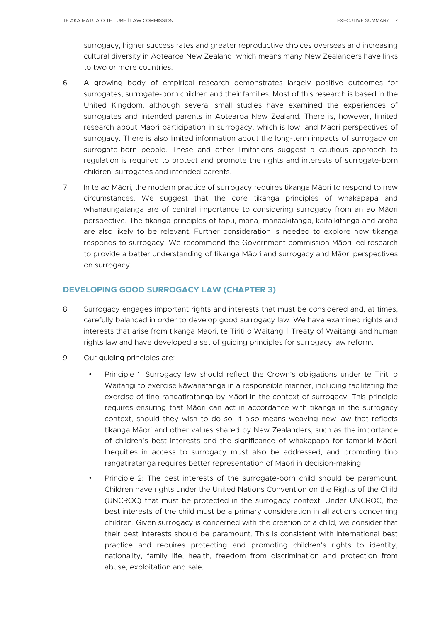surrogacy, higher success rates and greater reproductive choices overseas and increasing cultural diversity in Aotearoa New Zealand, which means many New Zealanders have links to two or more countries.

- 6. A growing body of empirical research demonstrates largely positive outcomes for surrogates, surrogate-born children and their families. Most of this research is based in the United Kingdom, although several small studies have examined the experiences of surrogates and intended parents in Aotearoa New Zealand. There is, however, limited research about Māori participation in surrogacy, which is low, and Māori perspectives of surrogacy. There is also limited information about the long-term impacts of surrogacy on surrogate-born people. These and other limitations suggest a cautious approach to regulation is required to protect and promote the rights and interests of surrogate-born children, surrogates and intended parents.
- 7. In te ao Māori, the modern practice of surrogacy requires tikanga Māori to respond to new circumstances. We suggest that the core tikanga principles of whakapapa and whanaungatanga are of central importance to considering surrogacy from an ao Māori perspective. The tikanga principles of tapu, mana, manaakitanga, kaitaikitanga and aroha are also likely to be relevant. Further consideration is needed to explore how tikanga responds to surrogacy. We recommend the Government commission Māori-led research to provide a better understanding of tikanga Māori and surrogacy and Māori perspectives on surrogacy.

# **DEVELOPING GOOD SURROGACY LAW (CHAPTER 3)**

- 8. Surrogacy engages important rights and interests that must be considered and, at times, carefully balanced in order to develop good surrogacy law. We have examined rights and interests that arise from tikanga Māori, te Tiriti o Waitangi | Treaty of Waitangi and human rights law and have developed a set of guiding principles for surrogacy law reform.
- 9. Our guiding principles are:
	- Principle 1: Surrogacy law should reflect the Crown's obligations under te Tiriti o Waitangi to exercise kāwanatanga in a responsible manner, including facilitating the exercise of tino rangatiratanga by Māori in the context of surrogacy. This principle requires ensuring that Māori can act in accordance with tikanga in the surrogacy context, should they wish to do so. It also means weaving new law that reflects tikanga Māori and other values shared by New Zealanders, such as the importance of children's best interests and the significance of whakapapa for tamariki Māori. Inequities in access to surrogacy must also be addressed, and promoting tino rangatiratanga requires better representation of Māori in decision-making.
	- Principle 2: The best interests of the surrogate-born child should be paramount. Children have rights under the United Nations Convention on the Rights of the Child (UNCROC) that must be protected in the surrogacy context. Under UNCROC, the best interests of the child must be a primary consideration in all actions concerning children. Given surrogacy is concerned with the creation of a child, we consider that their best interests should be paramount. This is consistent with international best practice and requires protecting and promoting children's rights to identity, nationality, family life, health, freedom from discrimination and protection from abuse, exploitation and sale.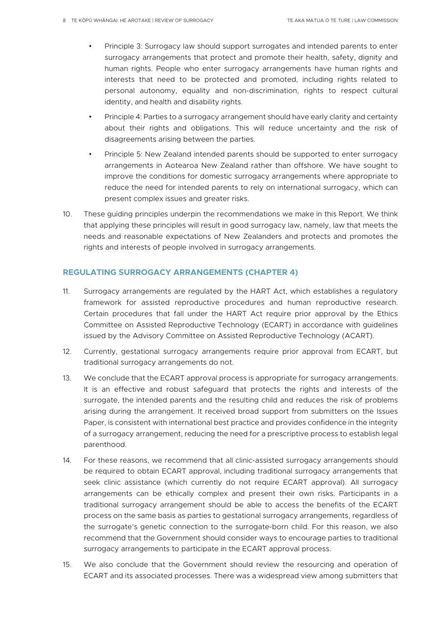- Principle 3: Surrogacy law should support surrogates and intended parents to enter surrogacy arrangements that protect and promote their health, safety, dignity and human rights. People who enter surrogacy arrangements have human rights and interests that need to be protected and promoted, including rights related to personal autonomy, equality and non-discrimination, rights to respect cultural identity, and health and disability rights.
- Principle 4: Parties to a surrogacy arrangement should have early clarity and certainty about their rights and obligations. This will reduce uncertainty and the risk of disagreements arising between the parties.
- Principle 5: New Zealand intended parents should be supported to enter surrogacy arrangements in Aotearoa New Zealand rather than offshore. We have sought to improve the conditions for domestic surrogacy arrangements where appropriate to reduce the need for intended parents to rely on international surrogacy, which can present complex issues and greater risks.
- 10. These guiding principles underpin the recommendations we make in this Report. We think that applying these principles will result in good surrogacy law, namely, law that meets the needs and reasonable expectations of New Zealanders and protects and promotes the rights and interests of people involved in surrogacy arrangements.

## **REGULATING SURROGACY ARRANGEMENTS (CHAPTER 4)**

- 11. Surrogacy arrangements are regulated by the HART Act, which establishes a regulatory framework for assisted reproductive procedures and human reproductive research. Certain procedures that fall under the HART Act require prior approval by the Ethics Committee on Assisted Reproductive Technology (ECART) in accordance with guidelines issued by the Advisory Committee on Assisted Reproductive Technology (ACART).
- 12. Currently, gestational surrogacy arrangements require prior approval from ECART, but traditional surrogacy arrangements do not.
- 13. We conclude that the ECART approval process is appropriate for surrogacy arrangements. It is an effective and robust safeguard that protects the rights and interests of the surrogate, the intended parents and the resulting child and reduces the risk of problems arising during the arrangement. It received broad support from submitters on the Issues Paper, is consistent with international best practice and provides confidence in the integrity of a surrogacy arrangement, reducing the need for a prescriptive process to establish legal parenthood.
- 14. For these reasons, we recommend that all clinic-assisted surrogacy arrangements should be required to obtain ECART approval, including traditional surrogacy arrangements that seek clinic assistance (which currently do not require ECART approval). All surrogacy arrangements can be ethically complex and present their own risks. Participants in a traditional surrogacy arrangement should be able to access the benefits of the ECART process on the same basis as parties to gestational surrogacy arrangements, regardless of the surrogate's genetic connection to the surrogate-born child. For this reason, we also recommend that the Government should consider ways to encourage parties to traditional surrogacy arrangements to participate in the ECART approval process.
- 15. We also conclude that the Government should review the resourcing and operation of ECART and its associated processes. There was a widespread view among submitters that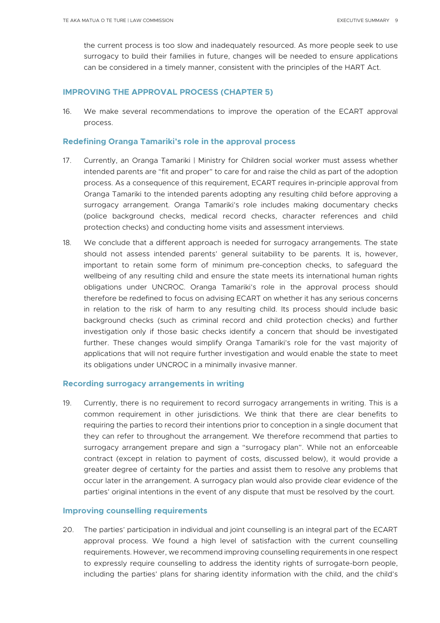the current process is too slow and inadequately resourced. As more people seek to use surrogacy to build their families in future, changes will be needed to ensure applications can be considered in a timely manner, consistent with the principles of the HART Act.

#### **IMPROVING THE APPROVAL PROCESS (CHAPTER 5)**

16. We make several recommendations to improve the operation of the ECART approval process.

#### **Redefining Oranga Tamariki's role in the approval process**

- 17. Currently, an Oranga Tamariki | Ministry for Children social worker must assess whether intended parents are "fit and proper" to care for and raise the child as part of the adoption process. As a consequence of this requirement, ECART requires in-principle approval from Oranga Tamariki to the intended parents adopting any resulting child before approving a surrogacy arrangement. Oranga Tamariki's role includes making documentary checks (police background checks, medical record checks, character references and child protection checks) and conducting home visits and assessment interviews.
- 18. We conclude that a different approach is needed for surrogacy arrangements. The state should not assess intended parents' general suitability to be parents. It is, however, important to retain some form of minimum pre-conception checks, to safeguard the wellbeing of any resulting child and ensure the state meets its international human rights obligations under UNCROC. Oranga Tamariki's role in the approval process should therefore be redefined to focus on advising ECART on whether it has any serious concerns in relation to the risk of harm to any resulting child. Its process should include basic background checks (such as criminal record and child protection checks) and further investigation only if those basic checks identify a concern that should be investigated further. These changes would simplify Oranga Tamariki's role for the vast majority of applications that will not require further investigation and would enable the state to meet its obligations under UNCROC in a minimally invasive manner.

#### **Recording surrogacy arrangements in writing**

19. Currently, there is no requirement to record surrogacy arrangements in writing. This is a common requirement in other jurisdictions. We think that there are clear benefits to requiring the parties to record their intentions prior to conception in a single document that they can refer to throughout the arrangement. We therefore recommend that parties to surrogacy arrangement prepare and sign a "surrogacy plan". While not an enforceable contract (except in relation to payment of costs, discussed below), it would provide a greater degree of certainty for the parties and assist them to resolve any problems that occur later in the arrangement. A surrogacy plan would also provide clear evidence of the parties' original intentions in the event of any dispute that must be resolved by the court.

#### **Improving counselling requirements**

20. The parties' participation in individual and joint counselling is an integral part of the ECART approval process. We found a high level of satisfaction with the current counselling requirements. However, we recommend improving counselling requirements in one respect to expressly require counselling to address the identity rights of surrogate-born people, including the parties' plans for sharing identity information with the child, and the child's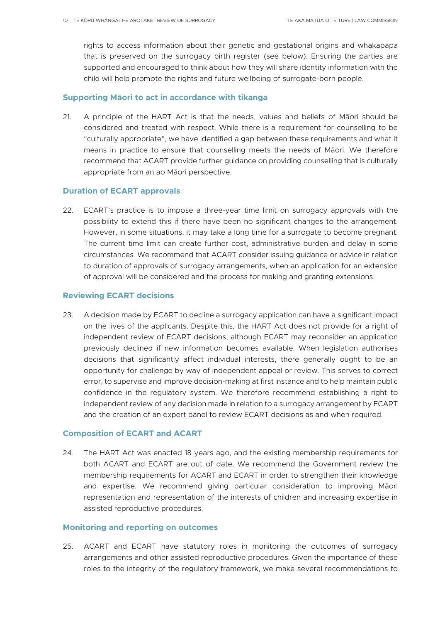rights to access information about their genetic and gestational origins and whakapapa that is preserved on the surrogacy birth register (see below). Ensuring the parties are supported and encouraged to think about how they will share identity information with the child will help promote the rights and future wellbeing of surrogate-born people.

## **Supporting Māori to act in accordance with tikanga**

21. A principle of the HART Act is that the needs, values and beliefs of Māori should be considered and treated with respect. While there is a requirement for counselling to be "culturally appropriate", we have identified a gap between these requirements and what it means in practice to ensure that counselling meets the needs of Māori. We therefore recommend that ACART provide further guidance on providing counselling that is culturally appropriate from an ao Māori perspective.

# **Duration of ECART approvals**

22. ECART's practice is to impose a three-year time limit on surrogacy approvals with the possibility to extend this if there have been no significant changes to the arrangement. However, in some situations, it may take a long time for a surrogate to become pregnant. The current time limit can create further cost, administrative burden and delay in some circumstances. We recommend that ACART consider issuing guidance or advice in relation to duration of approvals of surrogacy arrangements, when an application for an extension of approval will be considered and the process for making and granting extensions.

## **Reviewing ECART decisions**

23. A decision made by ECART to decline a surrogacy application can have a significant impact on the lives of the applicants. Despite this, the HART Act does not provide for a right of independent review of ECART decisions, although ECART may reconsider an application previously declined if new information becomes available. When legislation authorises decisions that significantly affect individual interests, there generally ought to be an opportunity for challenge by way of independent appeal or review. This serves to correct error, to supervise and improve decision-making at first instance and to help maintain public confidence in the regulatory system. We therefore recommend establishing a right to independent review of any decision made in relation to a surrogacy arrangement by ECART and the creation of an expert panel to review ECART decisions as and when required.

## **Composition of ECART and ACART**

24. The HART Act was enacted 18 years ago, and the existing membership requirements for both ACART and ECART are out of date. We recommend the Government review the membership requirements for ACART and ECART in order to strengthen their knowledge and expertise. We recommend giving particular consideration to improving Māori representation and representation of the interests of children and increasing expertise in assisted reproductive procedures.

## **Monitoring and reporting on outcomes**

25. ACART and ECART have statutory roles in monitoring the outcomes of surrogacy arrangements and other assisted reproductive procedures. Given the importance of these roles to the integrity of the regulatory framework, we make several recommendations to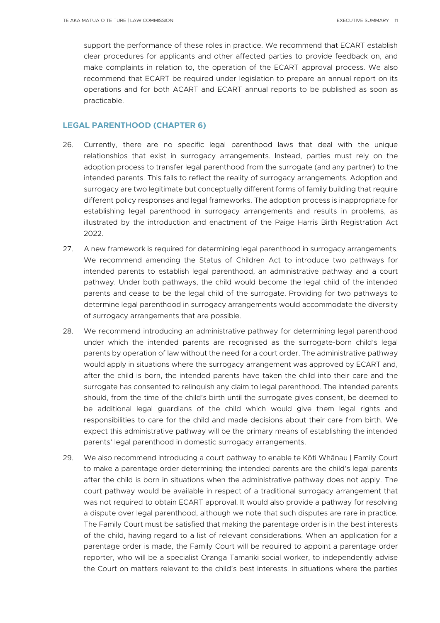support the performance of these roles in practice. We recommend that ECART establish clear procedures for applicants and other affected parties to provide feedback on, and make complaints in relation to, the operation of the ECART approval process. We also recommend that ECART be required under legislation to prepare an annual report on its operations and for both ACART and ECART annual reports to be published as soon as practicable.

## **LEGAL PARENTHOOD (CHAPTER 6)**

- 26. Currently, there are no specific legal parenthood laws that deal with the unique relationships that exist in surrogacy arrangements. Instead, parties must rely on the adoption process to transfer legal parenthood from the surrogate (and any partner) to the intended parents. This fails to reflect the reality of surrogacy arrangements. Adoption and surrogacy are two legitimate but conceptually different forms of family building that require different policy responses and legal frameworks. The adoption process is inappropriate for establishing legal parenthood in surrogacy arrangements and results in problems, as illustrated by the introduction and enactment of the Paige Harris Birth Registration Act 2022.
- 27. A new framework is required for determining legal parenthood in surrogacy arrangements. We recommend amending the Status of Children Act to introduce two pathways for intended parents to establish legal parenthood, an administrative pathway and a court pathway. Under both pathways, the child would become the legal child of the intended parents and cease to be the legal child of the surrogate. Providing for two pathways to determine legal parenthood in surrogacy arrangements would accommodate the diversity of surrogacy arrangements that are possible.
- 28. We recommend introducing an administrative pathway for determining legal parenthood under which the intended parents are recognised as the surrogate-born child's legal parents by operation of law without the need for a court order. The administrative pathway would apply in situations where the surrogacy arrangement was approved by ECART and, after the child is born, the intended parents have taken the child into their care and the surrogate has consented to relinquish any claim to legal parenthood. The intended parents should, from the time of the child's birth until the surrogate gives consent, be deemed to be additional legal guardians of the child which would give them legal rights and responsibilities to care for the child and made decisions about their care from birth. We expect this administrative pathway will be the primary means of establishing the intended parents' legal parenthood in domestic surrogacy arrangements.
- 29. We also recommend introducing a court pathway to enable te Kōti Whānau | Family Court to make a parentage order determining the intended parents are the child's legal parents after the child is born in situations when the administrative pathway does not apply. The court pathway would be available in respect of a traditional surrogacy arrangement that was not required to obtain ECART approval. It would also provide a pathway for resolving a dispute over legal parenthood, although we note that such disputes are rare in practice. The Family Court must be satisfied that making the parentage order is in the best interests of the child, having regard to a list of relevant considerations. When an application for a parentage order is made, the Family Court will be required to appoint a parentage order reporter, who will be a specialist Oranga Tamariki social worker, to independently advise the Court on matters relevant to the child's best interests. In situations where the parties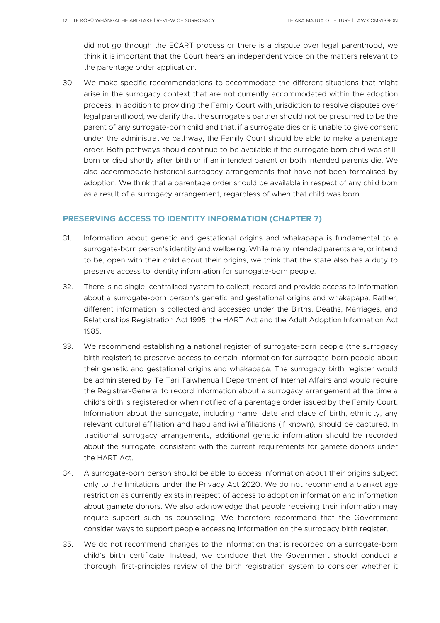did not go through the ECART process or there is a dispute over legal parenthood, we think it is important that the Court hears an independent voice on the matters relevant to the parentage order application.

30. We make specific recommendations to accommodate the different situations that might arise in the surrogacy context that are not currently accommodated within the adoption process. In addition to providing the Family Court with jurisdiction to resolve disputes over legal parenthood, we clarify that the surrogate's partner should not be presumed to be the parent of any surrogate-born child and that, if a surrogate dies or is unable to give consent under the administrative pathway, the Family Court should be able to make a parentage order. Both pathways should continue to be available if the surrogate-born child was stillborn or died shortly after birth or if an intended parent or both intended parents die. We also accommodate historical surrogacy arrangements that have not been formalised by adoption. We think that a parentage order should be available in respect of any child born as a result of a surrogacy arrangement, regardless of when that child was born.

# **PRESERVING ACCESS TO IDENTITY INFORMATION (CHAPTER 7)**

- 31. Information about genetic and gestational origins and whakapapa is fundamental to a surrogate-born person's identity and wellbeing. While many intended parents are, or intend to be, open with their child about their origins, we think that the state also has a duty to preserve access to identity information for surrogate-born people.
- 32. There is no single, centralised system to collect, record and provide access to information about a surrogate-born person's genetic and gestational origins and whakapapa. Rather, different information is collected and accessed under the Births, Deaths, Marriages, and Relationships Registration Act 1995, the HART Act and the Adult Adoption Information Act 1985.
- 33. We recommend establishing a national register of surrogate-born people (the surrogacy birth register) to preserve access to certain information for surrogate-born people about their genetic and gestational origins and whakapapa. The surrogacy birth register would be administered by Te Tari Taiwhenua | Department of Internal Affairs and would require the Registrar-General to record information about a surrogacy arrangement at the time a child's birth is registered or when notified of a parentage order issued by the Family Court. Information about the surrogate, including name, date and place of birth, ethnicity, any relevant cultural affiliation and hapū and iwi affiliations (if known), should be captured. In traditional surrogacy arrangements, additional genetic information should be recorded about the surrogate, consistent with the current requirements for gamete donors under the HART Act.
- 34. A surrogate-born person should be able to access information about their origins subject only to the limitations under the Privacy Act 2020. We do not recommend a blanket age restriction as currently exists in respect of access to adoption information and information about gamete donors. We also acknowledge that people receiving their information may require support such as counselling. We therefore recommend that the Government consider ways to support people accessing information on the surrogacy birth register.
- 35. We do not recommend changes to the information that is recorded on a surrogate-born child's birth certificate. Instead, we conclude that the Government should conduct a thorough, first-principles review of the birth registration system to consider whether it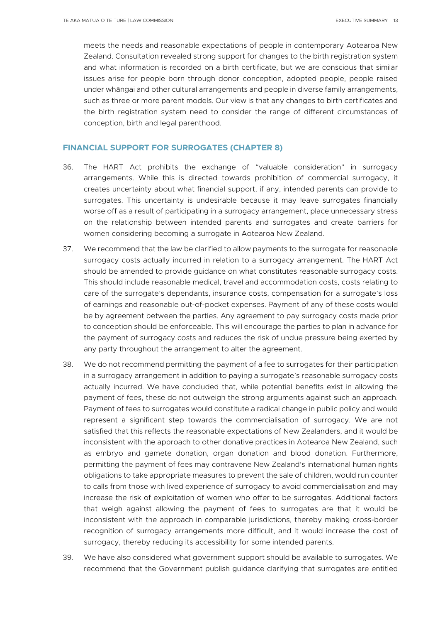meets the needs and reasonable expectations of people in contemporary Aotearoa New Zealand. Consultation revealed strong support for changes to the birth registration system and what information is recorded on a birth certificate, but we are conscious that similar issues arise for people born through donor conception, adopted people, people raised under whāngai and other cultural arrangements and people in diverse family arrangements, such as three or more parent models. Our view is that any changes to birth certificates and the birth registration system need to consider the range of different circumstances of conception, birth and legal parenthood.

#### **FINANCIAL SUPPORT FOR SURROGATES (CHAPTER 8)**

- 36. The HART Act prohibits the exchange of "valuable consideration" in surrogacy arrangements. While this is directed towards prohibition of commercial surrogacy, it creates uncertainty about what financial support, if any, intended parents can provide to surrogates. This uncertainty is undesirable because it may leave surrogates financially worse off as a result of participating in a surrogacy arrangement, place unnecessary stress on the relationship between intended parents and surrogates and create barriers for women considering becoming a surrogate in Aotearoa New Zealand.
- 37. We recommend that the law be clarified to allow payments to the surrogate for reasonable surrogacy costs actually incurred in relation to a surrogacy arrangement. The HART Act should be amended to provide guidance on what constitutes reasonable surrogacy costs. This should include reasonable medical, travel and accommodation costs, costs relating to care of the surrogate's dependants, insurance costs, compensation for a surrogate's loss of earnings and reasonable out-of-pocket expenses. Payment of any of these costs would be by agreement between the parties. Any agreement to pay surrogacy costs made prior to conception should be enforceable. This will encourage the parties to plan in advance for the payment of surrogacy costs and reduces the risk of undue pressure being exerted by any party throughout the arrangement to alter the agreement.
- 38. We do not recommend permitting the payment of a fee to surrogates for their participation in a surrogacy arrangement in addition to paying a surrogate's reasonable surrogacy costs actually incurred. We have concluded that, while potential benefits exist in allowing the payment of fees, these do not outweigh the strong arguments against such an approach. Payment of fees to surrogates would constitute a radical change in public policy and would represent a significant step towards the commercialisation of surrogacy. We are not satisfied that this reflects the reasonable expectations of New Zealanders, and it would be inconsistent with the approach to other donative practices in Aotearoa New Zealand, such as embryo and gamete donation, organ donation and blood donation. Furthermore, permitting the payment of fees may contravene New Zealand's international human rights obligations to take appropriate measures to prevent the sale of children, would run counter to calls from those with lived experience of surrogacy to avoid commercialisation and may increase the risk of exploitation of women who offer to be surrogates. Additional factors that weigh against allowing the payment of fees to surrogates are that it would be inconsistent with the approach in comparable jurisdictions, thereby making cross-border recognition of surrogacy arrangements more difficult, and it would increase the cost of surrogacy, thereby reducing its accessibility for some intended parents.
- 39. We have also considered what government support should be available to surrogates. We recommend that the Government publish guidance clarifying that surrogates are entitled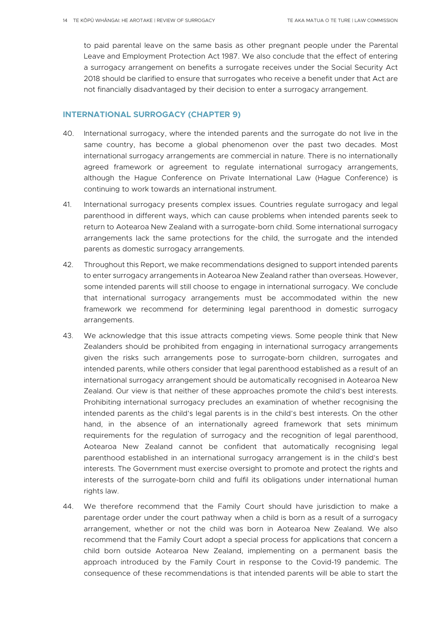to paid parental leave on the same basis as other pregnant people under the Parental Leave and Employment Protection Act 1987. We also conclude that the effect of entering a surrogacy arrangement on benefits a surrogate receives under the Social Security Act 2018 should be clarified to ensure that surrogates who receive a benefit under that Act are not financially disadvantaged by their decision to enter a surrogacy arrangement.

#### **INTERNATIONAL SURROGACY (CHAPTER 9)**

- 40. International surrogacy, where the intended parents and the surrogate do not live in the same country, has become a global phenomenon over the past two decades. Most international surrogacy arrangements are commercial in nature. There is no internationally agreed framework or agreement to regulate international surrogacy arrangements, although the Hague Conference on Private International Law (Hague Conference) is continuing to work towards an international instrument.
- 41. International surrogacy presents complex issues. Countries regulate surrogacy and legal parenthood in different ways, which can cause problems when intended parents seek to return to Aotearoa New Zealand with a surrogate-born child. Some international surrogacy arrangements lack the same protections for the child, the surrogate and the intended parents as domestic surrogacy arrangements.
- 42. Throughout this Report, we make recommendations designed to support intended parents to enter surrogacy arrangements in Aotearoa New Zealand rather than overseas. However, some intended parents will still choose to engage in international surrogacy. We conclude that international surrogacy arrangements must be accommodated within the new framework we recommend for determining legal parenthood in domestic surrogacy arrangements.
- 43. We acknowledge that this issue attracts competing views. Some people think that New Zealanders should be prohibited from engaging in international surrogacy arrangements given the risks such arrangements pose to surrogate-born children, surrogates and intended parents, while others consider that legal parenthood established as a result of an international surrogacy arrangement should be automatically recognised in Aotearoa New Zealand. Our view is that neither of these approaches promote the child's best interests. Prohibiting international surrogacy precludes an examination of whether recognising the intended parents as the child's legal parents is in the child's best interests. On the other hand, in the absence of an internationally agreed framework that sets minimum requirements for the regulation of surrogacy and the recognition of legal parenthood, Aotearoa New Zealand cannot be confident that automatically recognising legal parenthood established in an international surrogacy arrangement is in the child's best interests. The Government must exercise oversight to promote and protect the rights and interests of the surrogate-born child and fulfil its obligations under international human rights law.
- 44. We therefore recommend that the Family Court should have jurisdiction to make a parentage order under the court pathway when a child is born as a result of a surrogacy arrangement, whether or not the child was born in Aotearoa New Zealand. We also recommend that the Family Court adopt a special process for applications that concern a child born outside Aotearoa New Zealand, implementing on a permanent basis the approach introduced by the Family Court in response to the Covid-19 pandemic. The consequence of these recommendations is that intended parents will be able to start the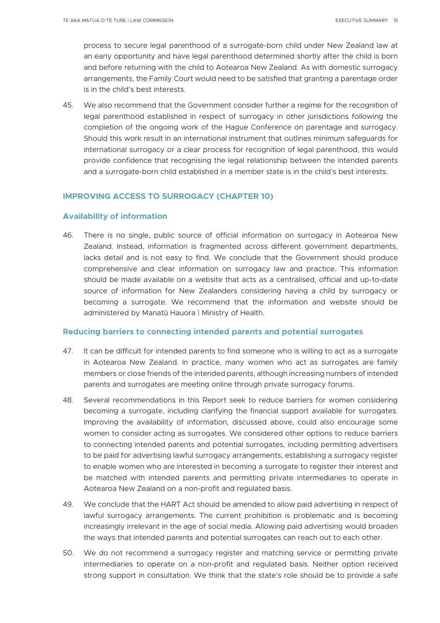process to secure legal parenthood of a surrogate-born child under New Zealand law at an early opportunity and have legal parenthood determined shortly after the child is born and before returning with the child to Aotearoa New Zealand. As with domestic surrogacy arrangements, the Family Court would need to be satisfied that granting a parentage order is in the child's best interests.

45. We also recommend that the Government consider further a regime for the recognition of legal parenthood established in respect of surrogacy in other jurisdictions following the completion of the ongoing work of the Hague Conference on parentage and surrogacy. Should this work result in an international instrument that outlines minimum safeguards for international surrogacy or a clear process for recognition of legal parenthood, this would provide confidence that recognising the legal relationship between the intended parents and a surrogate-born child established in a member state is in the child's best interests.

# **IMPROVING ACCESS TO SURROGACY (CHAPTER 10)**

# **Availability of information**

46. There is no single, public source of official information on surrogacy in Aotearoa New Zealand. Instead, information is fragmented across different government departments, lacks detail and is not easy to find. We conclude that the Government should produce comprehensive and clear information on surrogacy law and practice. This information should be made available on a website that acts as a centralised, official and up-to-date source of information for New Zealanders considering having a child by surrogacy or becoming a surrogate. We recommend that the information and website should be administered by Manatū Hauora | Ministry of Health.

## **Reducing barriers to connecting intended parents and potential surrogates**

- 47. It can be difficult for intended parents to find someone who is willing to act as a surrogate in Aotearoa New Zealand. In practice, many women who act as surrogates are family members or close friends of the intended parents, although increasing numbers of intended parents and surrogates are meeting online through private surrogacy forums.
- 48. Several recommendations in this Report seek to reduce barriers for women considering becoming a surrogate, including clarifying the financial support available for surrogates. Improving the availability of information, discussed above, could also encourage some women to consider acting as surrogates. We considered other options to reduce barriers to connecting intended parents and potential surrogates, including permitting advertisers to be paid for advertising lawful surrogacy arrangements, establishing a surrogacy register to enable women who are interested in becoming a surrogate to register their interest and be matched with intended parents and permitting private intermediaries to operate in Aotearoa New Zealand on a non-profit and regulated basis.
- 49. We conclude that the HART Act should be amended to allow paid advertising in respect of lawful surrogacy arrangements. The current prohibition is problematic and is becoming increasingly irrelevant in the age of social media. Allowing paid advertising would broaden the ways that intended parents and potential surrogates can reach out to each other.
- 50. We do not recommend a surrogacy register and matching service or permitting private intermediaries to operate on a non-profit and regulated basis. Neither option received strong support in consultation. We think that the state's role should be to provide a safe